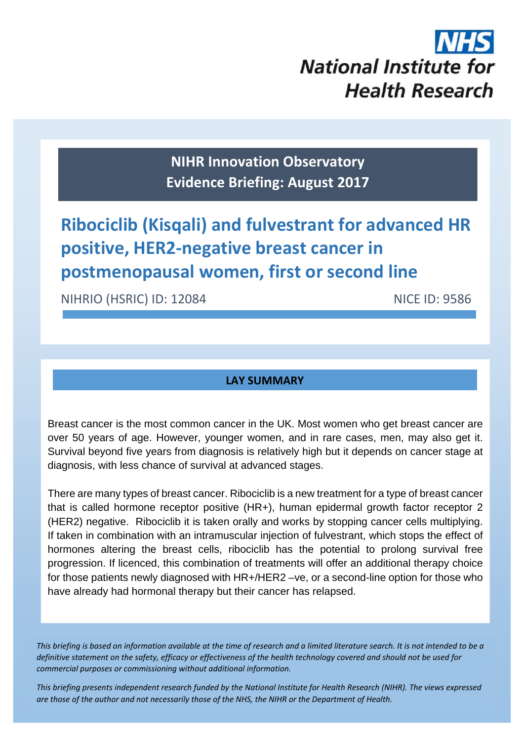

**NIHR Innovation Observatory Evidence Briefing: August 2017**

# **Ribociclib (Kisqali) and fulvestrant for advanced HR positive, HER2‐negative breast cancer in postmenopausal women, first or second line**

NIHRIO (HSRIC) ID: 12084 NICE ID: 9586

# **LAY SUMMARY**

Breast cancer is the most common cancer in the UK. Most women who get breast cancer are over 50 years of age. However, younger women, and in rare cases, men, may also get it. Survival beyond five years from diagnosis is relatively high but it depends on cancer stage at diagnosis, with less chance of survival at advanced stages.

There are many types of breast cancer. Ribociclib is a new treatment for a type of breast cancer that is called hormone receptor positive (HR+), human epidermal growth factor receptor 2 (HER2) negative. Ribociclib it is taken orally and works by stopping cancer cells multiplying. If taken in combination with an intramuscular injection of fulvestrant, which stops the effect of hormones altering the breast cells, ribociclib has the potential to prolong survival free progression. If licenced, this combination of treatments will offer an additional therapy choice for those patients newly diagnosed with HR+/HER2 –ve, or a second-line option for those who have already had hormonal therapy but their cancer has relapsed.

This briefing is based on information available at the time of research and a limited literature search. It is not intended to be a definitive statement on the safety, efficacy or effectiveness of the health technology covered and should not be used for *commercial purposes or commissioning without additional information.*

1 *This briefing presents independent research funded by the National Institute for Health Research (NIHR). The views expressed* are those of the author and not necessarily those of the NHS, the NIHR or the Department of Health.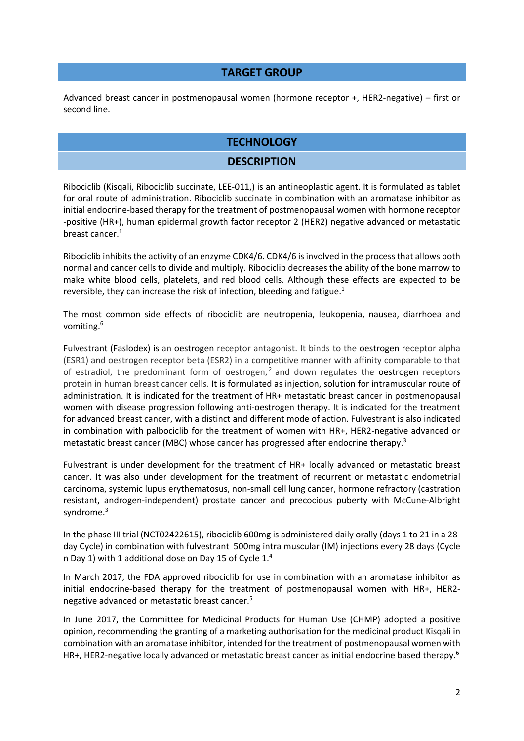#### **TARGET GROUP**

Advanced breast cancer in postmenopausal women (hormone receptor +, HER2‐negative) – first or second line.

## **TECHNOLOGY**

#### **DESCRIPTION**

Ribociclib (Kisqali, Ribociclib succinate, LEE‐011,) is an antineoplastic agent. It is formulated as tablet for oral route of administration. Ribociclib succinate in combination with an aromatase inhibitor as initial endocrine‐based therapy for the treatment of postmenopausal women with hormone receptor ‐positive (HR+), human epidermal growth factor receptor 2 (HER2) negative advanced or metastatic breast cancer.<sup>1</sup>

Ribociclib inhibits the activity of an enzyme CDK4/6. CDK4/6 isinvolved in the processthat allows both normal and cancer cells to divide and multiply. Ribociclib decreases the ability of the bone marrow to make white blood cells, platelets, and red blood cells. Although these effects are expected to be reversible, they can increase the risk of infection, bleeding and fatigue.<sup>1</sup>

The most common side effects of ribociclib are neutropenia, leukopenia, nausea, diarrhoea and vomiting.6

Fulvestrant (Faslodex) is an oestrogen receptor antagonist. It binds to the oestrogen receptor alpha (ESR1) and oestrogen receptor beta (ESR2) in a competitive manner with affinity comparable to that of estradiol, the predominant form of oestrogen, $<sup>2</sup>$  and down regulates the oestrogen receptors</sup> protein in human breast cancer cells. It is formulated as injection, solution for intramuscular route of administration. It is indicated for the treatment of HR+ metastatic breast cancer in postmenopausal women with disease progression following anti-oestrogen therapy. It is indicated for the treatment for advanced breast cancer, with a distinct and different mode of action. Fulvestrant is also indicated in combination with palbociclib for the treatment of women with HR+, HER2‐negative advanced or metastatic breast cancer (MBC) whose cancer has progressed after endocrine therapy.<sup>3</sup>

Fulvestrant is under development for the treatment of HR+ locally advanced or metastatic breast cancer. It was also under development for the treatment of recurrent or metastatic endometrial carcinoma, systemic lupus erythematosus, non‐small cell lung cancer, hormone refractory (castration resistant, androgen‐independent) prostate cancer and precocious puberty with McCune‐Albright syndrome.<sup>3</sup>

In the phase III trial (NCT02422615), ribociclib 600mg is administered daily orally (days 1 to 21 in a 28‐ day Cycle) in combination with fulvestrant 500mg intra muscular (IM) injections every 28 days (Cycle n Day 1) with 1 additional dose on Day 15 of Cycle 1.4

In March 2017, the FDA approved ribociclib for use in combination with an aromatase inhibitor as initial endocrine-based therapy for the treatment of postmenopausal women with HR+, HER2negative advanced or metastatic breast cancer.5

In June 2017, the Committee for Medicinal Products for Human Use (CHMP) adopted a positive opinion, recommending the granting of a marketing authorisation for the medicinal product Kisqali in combination with an aromatase inhibitor, intended for the treatment of postmenopausal women with HR+, HER2-negative locally advanced or metastatic breast cancer as initial endocrine based therapy.<sup>6</sup>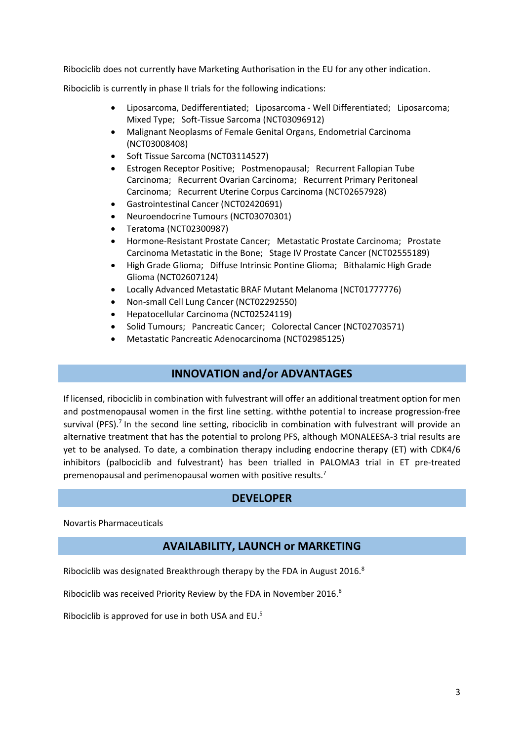Ribociclib does not currently have Marketing Authorisation in the EU for any other indication.

Ribociclib is currently in phase II trials for the following indications:

- Liposarcoma, Dedifferentiated; Liposarcoma ‐ Well Differentiated; Liposarcoma; Mixed Type; Soft‐Tissue Sarcoma (NCT03096912)
- Malignant Neoplasms of Female Genital Organs, Endometrial Carcinoma (NCT03008408)
- Soft Tissue Sarcoma (NCT03114527)
- Estrogen Receptor Positive; Postmenopausal; Recurrent Fallopian Tube Carcinoma; Recurrent Ovarian Carcinoma; Recurrent Primary Peritoneal Carcinoma; Recurrent Uterine Corpus Carcinoma (NCT02657928)
- Gastrointestinal Cancer (NCT02420691)
- Neuroendocrine Tumours (NCT03070301)
- Teratoma (NCT02300987)
- Hormone‐Resistant Prostate Cancer; Metastatic Prostate Carcinoma; Prostate Carcinoma Metastatic in the Bone; Stage IV Prostate Cancer (NCT02555189)
- High Grade Glioma; Diffuse Intrinsic Pontine Glioma; Bithalamic High Grade Glioma (NCT02607124)
- Locally Advanced Metastatic BRAF Mutant Melanoma (NCT01777776)
- Non‐small Cell Lung Cancer (NCT02292550)
- Hepatocellular Carcinoma (NCT02524119)
- Solid Tumours; Pancreatic Cancer; Colorectal Cancer (NCT02703571)
- Metastatic Pancreatic Adenocarcinoma (NCT02985125)

#### **INNOVATION and/or ADVANTAGES**

If licensed, ribociclib in combination with fulvestrant will offer an additional treatment option for men and postmenopausal women in the first line setting. withthe potential to increase progression-free survival (PFS).<sup>7</sup> In the second line setting, ribociclib in combination with fulvestrant will provide an alternative treatment that has the potential to prolong PFS, although MONALEESA‐3 trial results are yet to be analysed. To date, a combination therapy including endocrine therapy (ET) with CDK4/6 inhibitors (palbociclib and fulvestrant) has been trialled in PALOMA3 trial in ET pre‐treated premenopausal and perimenopausal women with positive results.7

#### **DEVELOPER**

Novartis Pharmaceuticals

#### **AVAILABILITY, LAUNCH or MARKETING**

Ribociclib was designated Breakthrough therapy by the FDA in August 2016.8

Ribociclib was received Priority Review by the FDA in November 2016.<sup>8</sup>

Ribociclib is approved for use in both USA and EU.5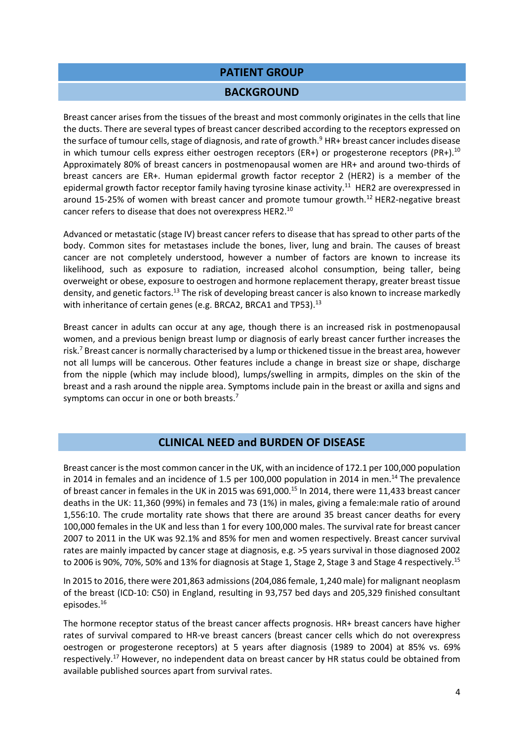#### **PATIENT GROUP**

#### **BACKGROUND**

Breast cancer arises from the tissues of the breast and most commonly originates in the cells that line the ducts. There are several types of breast cancer described according to the receptors expressed on the surface of tumour cells, stage of diagnosis, and rate of growth. $9$  HR+ breast cancer includes disease in which tumour cells express either oestrogen receptors (ER+) or progesterone receptors (PR+).<sup>10</sup> Approximately 80% of breast cancers in postmenopausal women are HR+ and around two‐thirds of breast cancers are ER+. Human epidermal growth factor receptor 2 (HER2) is a member of the epidermal growth factor receptor family having tyrosine kinase activity.<sup>11</sup> HER2 are overexpressed in around 15-25% of women with breast cancer and promote tumour growth.<sup>12</sup> HER2-negative breast cancer refers to disease that does not overexpress HER2.10

Advanced or metastatic (stage IV) breast cancer refers to disease that has spread to other parts of the body. Common sites for metastases include the bones, liver, lung and brain. The causes of breast cancer are not completely understood, however a number of factors are known to increase its likelihood, such as exposure to radiation, increased alcohol consumption, being taller, being overweight or obese, exposure to oestrogen and hormone replacement therapy, greater breast tissue density, and genetic factors.<sup>13</sup> The risk of developing breast cancer is also known to increase markedly with inheritance of certain genes (e.g. BRCA2, BRCA1 and TP53).<sup>13</sup>

Breast cancer in adults can occur at any age, though there is an increased risk in postmenopausal women, and a previous benign breast lump or diagnosis of early breast cancer further increases the risk.<sup>7</sup> Breast cancer is normally characterised by a lump or thickened tissue in the breast area, however not all lumps will be cancerous. Other features include a change in breast size or shape, discharge from the nipple (which may include blood), lumps/swelling in armpits, dimples on the skin of the breast and a rash around the nipple area. Symptoms include pain in the breast or axilla and signs and symptoms can occur in one or both breasts.<sup>7</sup>

## **CLINICAL NEED and BURDEN OF DISEASE**

Breast cancer isthe most common cancer in the UK, with an incidence of 172.1 per 100,000 population in 2014 in females and an incidence of 1.5 per 100,000 population in 2014 in men.<sup>14</sup> The prevalence of breast cancer in females in the UK in 2015 was 691,000.15 In 2014, there were 11,433 breast cancer deaths in the UK: 11,360 (99%) in females and 73 (1%) in males, giving a female:male ratio of around 1,556:10. The crude mortality rate shows that there are around 35 breast cancer deaths for every 100,000 females in the UK and less than 1 for every 100,000 males. The survival rate for breast cancer 2007 to 2011 in the UK was 92.1% and 85% for men and women respectively. Breast cancer survival rates are mainly impacted by cancer stage at diagnosis, e.g. >5 years survival in those diagnosed 2002 to 2006 is 90%, 70%, 50% and 13% for diagnosis at Stage 1, Stage 2, Stage 3 and Stage 4 respectively.<sup>15</sup>

In 2015 to 2016, there were 201,863 admissions(204,086 female, 1,240 male) for malignant neoplasm of the breast (ICD‐10: C50) in England, resulting in 93,757 bed days and 205,329 finished consultant episodes.16

The hormone receptor status of the breast cancer affects prognosis. HR+ breast cancers have higher rates of survival compared to HR‐ve breast cancers (breast cancer cells which do not overexpress oestrogen or progesterone receptors) at 5 years after diagnosis (1989 to 2004) at 85% vs. 69% respectively.<sup>17</sup> However, no independent data on breast cancer by HR status could be obtained from available published sources apart from survival rates.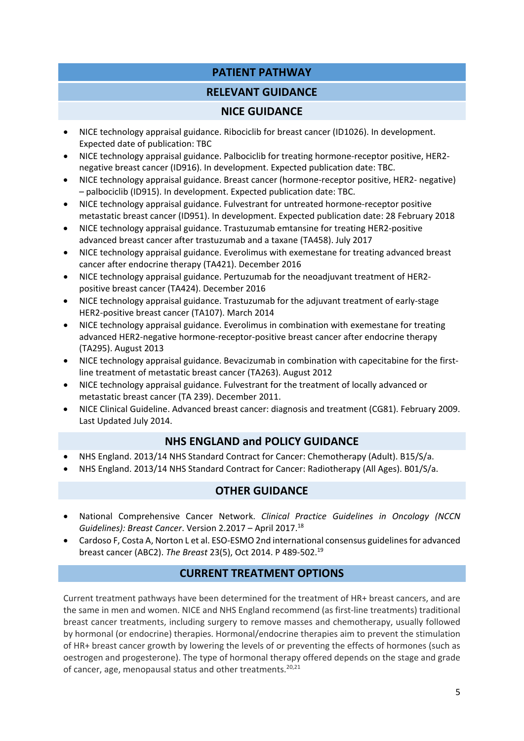# **PATIENT PATHWAY**

## **RELEVANT GUIDANCE**

## **NICE GUIDANCE**

- NICE technology appraisal guidance. Ribociclib for breast cancer (ID1026). In development. Expected date of publication: TBC
- NICE technology appraisal guidance. Palbociclib for treating hormone‐receptor positive, HER2‐ negative breast cancer (ID916). In development. Expected publication date: TBC.
- NICE technology appraisal guidance. Breast cancer (hormone‐receptor positive, HER2‐ negative) – palbociclib (ID915). In development. Expected publication date: TBC.
- NICE technology appraisal guidance. Fulvestrant for untreated hormone-receptor positive metastatic breast cancer (ID951). In development. Expected publication date: 28 February 2018
- NICE technology appraisal guidance. Trastuzumab emtansine for treating HER2-positive advanced breast cancer after trastuzumab and a taxane (TA458). July 2017
- NICE technology appraisal guidance. Everolimus with exemestane for treating advanced breast cancer after endocrine therapy (TA421). December 2016
- NICE technology appraisal guidance. Pertuzumab for the neoadjuvant treatment of HER2positive breast cancer (TA424). December 2016
- NICE technology appraisal guidance. Trastuzumab for the adjuvant treatment of early‐stage HER2‐positive breast cancer (TA107). March 2014
- NICE technology appraisal guidance. Everolimus in combination with exemestane for treating advanced HER2‐negative hormone‐receptor‐positive breast cancer after endocrine therapy (TA295). August 2013
- NICE technology appraisal guidance. Bevacizumab in combination with capecitabine for the first‐ line treatment of metastatic breast cancer (TA263). August 2012
- NICE technology appraisal guidance. Fulvestrant for the treatment of locally advanced or metastatic breast cancer (TA 239). December 2011.
- NICE Clinical Guideline. Advanced breast cancer: diagnosis and treatment (CG81). February 2009. Last Updated July 2014.

# **NHS ENGLAND and POLICY GUIDANCE**

- NHS England. 2013/14 NHS Standard Contract for Cancer: Chemotherapy (Adult). B15/S/a.
- NHS England. 2013/14 NHS Standard Contract for Cancer: Radiotherapy (All Ages). B01/S/a.

# **OTHER GUIDANCE**

- National Comprehensive Cancer Network. *Clinical Practice Guidelines in Oncology (NCCN Guidelines): Breast Cancer*. Version 2.2017 – April 2017.18
- Cardoso F, Costa A, Norton L et al. ESO‐ESMO 2nd international consensus guidelinesfor advanced breast cancer (ABC2). *The Breast* 23(5), Oct 2014. P 489‐502.19

# **CURRENT TREATMENT OPTIONS**

Current treatment pathways have been determined for the treatment of HR+ breast cancers, and are the same in men and women. NICE and NHS England recommend (as first-line treatments) traditional breast cancer treatments, including surgery to remove masses and chemotherapy, usually followed by hormonal (or endocrine) therapies. Hormonal/endocrine therapies aim to prevent the stimulation of HR+ breast cancer growth by lowering the levels of or preventing the effects of hormones (such as oestrogen and progesterone). The type of hormonal therapy offered depends on the stage and grade of cancer, age, menopausal status and other treatments. $20,21$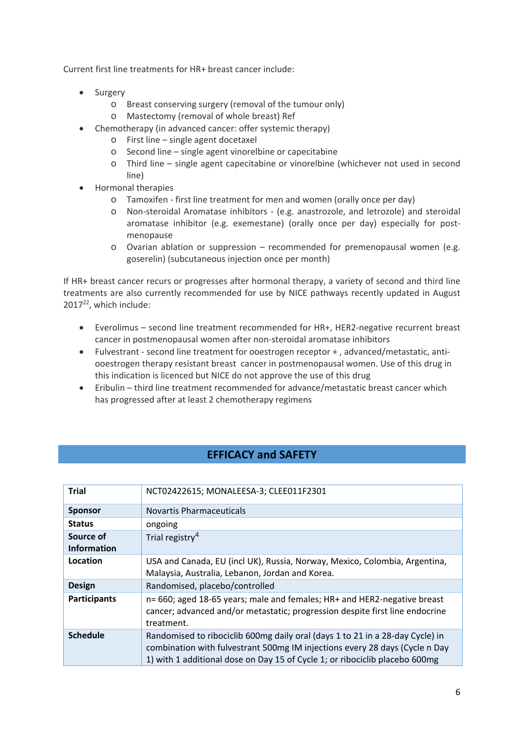Current first line treatments for HR+ breast cancer include:

- Surgery
	- o Breast conserving surgery (removal of the tumour only)
	- o Mastectomy (removal of whole breast) Ref
- Chemotherapy (in advanced cancer: offer systemic therapy)
	- o First line single agent docetaxel
	- o Second line single agent vinorelbine or capecitabine
	- o Third line single agent capecitabine or vinorelbine (whichever not used in second line)
- Hormonal therapies
	- o Tamoxifen ‐ first line treatment for men and women (orally once per day)
	- o Non‐steroidal Aromatase inhibitors ‐ (e.g. anastrozole, and letrozole) and steroidal aromatase inhibitor (e.g. exemestane) (orally once per day) especially for postmenopause
	- o Ovarian ablation or suppression recommended for premenopausal women (e.g. goserelin) (subcutaneous injection once per month)

If HR+ breast cancer recurs or progresses after hormonal therapy, a variety of second and third line treatments are also currently recommended for use by NICE pathways recently updated in August 201722, which include:

- Everolimus second line treatment recommended for HR+, HER2‐negative recurrent breast cancer in postmenopausal women after non‐steroidal aromatase inhibitors
- Fulvestrant ‐ second line treatment for ooestrogen receptor + , advanced/metastatic, anti‐ ooestrogen therapy resistant breast cancer in postmenopausal women. Use of this drug in this indication is licenced but NICE do not approve the use of this drug
- Eribulin third line treatment recommended for advance/metastatic breast cancer which has progressed after at least 2 chemotherapy regimens

# **EFFICACY and SAFETY**

| <b>Trial</b>        | NCT02422615; MONALEESA-3; CLEE011F2301                                                                                                                                                                                                      |
|---------------------|---------------------------------------------------------------------------------------------------------------------------------------------------------------------------------------------------------------------------------------------|
| <b>Sponsor</b>      | Novartis Pharmaceuticals                                                                                                                                                                                                                    |
| <b>Status</b>       | ongoing                                                                                                                                                                                                                                     |
| Source of           | Trial registry <sup>4</sup>                                                                                                                                                                                                                 |
| <b>Information</b>  |                                                                                                                                                                                                                                             |
| Location            | USA and Canada, EU (incl UK), Russia, Norway, Mexico, Colombia, Argentina,<br>Malaysia, Australia, Lebanon, Jordan and Korea.                                                                                                               |
| <b>Design</b>       | Randomised, placebo/controlled                                                                                                                                                                                                              |
| <b>Participants</b> | n= 660; aged 18-65 years; male and females; HR+ and HER2-negative breast<br>cancer; advanced and/or metastatic; progression despite first line endocrine<br>treatment.                                                                      |
| <b>Schedule</b>     | Randomised to ribociclib 600mg daily oral (days 1 to 21 in a 28-day Cycle) in<br>combination with fulvestrant 500mg IM injections every 28 days (Cycle n Day<br>1) with 1 additional dose on Day 15 of Cycle 1; or ribociclib placebo 600mg |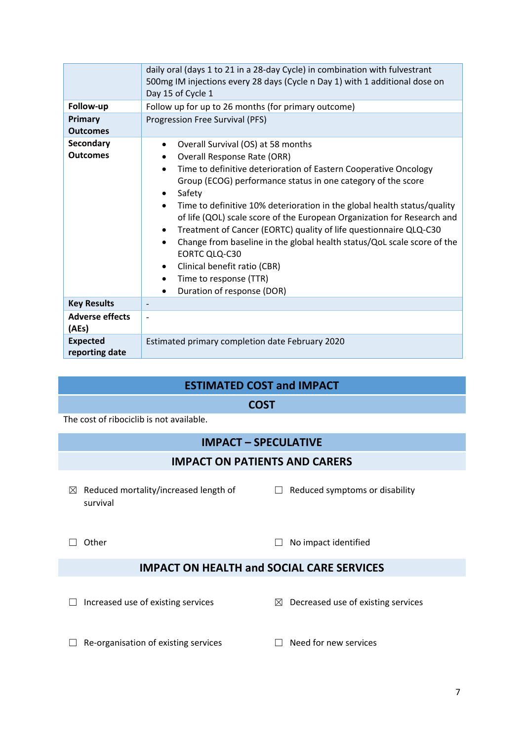| Follow-up<br>Primary<br><b>Outcomes</b> | daily oral (days 1 to 21 in a 28-day Cycle) in combination with fulvestrant<br>500mg IM injections every 28 days (Cycle n Day 1) with 1 additional dose on<br>Day 15 of Cycle 1<br>Follow up for up to 26 months (for primary outcome)<br>Progression Free Survival (PFS)                                                                                                                                                                                                                                                                                                                                                                                                          |  |  |  |
|-----------------------------------------|------------------------------------------------------------------------------------------------------------------------------------------------------------------------------------------------------------------------------------------------------------------------------------------------------------------------------------------------------------------------------------------------------------------------------------------------------------------------------------------------------------------------------------------------------------------------------------------------------------------------------------------------------------------------------------|--|--|--|
| <b>Secondary</b><br><b>Outcomes</b>     | Overall Survival (OS) at 58 months<br>$\bullet$<br><b>Overall Response Rate (ORR)</b><br>Time to definitive deterioration of Eastern Cooperative Oncology<br>$\bullet$<br>Group (ECOG) performance status in one category of the score<br>Safety<br>Time to definitive 10% deterioration in the global health status/quality<br>$\bullet$<br>of life (QOL) scale score of the European Organization for Research and<br>Treatment of Cancer (EORTC) quality of life questionnaire QLQ-C30<br>Change from baseline in the global health status/QoL scale score of the<br>EORTC QLQ-C30<br>Clinical benefit ratio (CBR)<br>Time to response (TTR)<br>٠<br>Duration of response (DOR) |  |  |  |
| <b>Key Results</b>                      |                                                                                                                                                                                                                                                                                                                                                                                                                                                                                                                                                                                                                                                                                    |  |  |  |
| <b>Adverse effects</b><br>(AEs)         | $\overline{\phantom{a}}$                                                                                                                                                                                                                                                                                                                                                                                                                                                                                                                                                                                                                                                           |  |  |  |
| <b>Expected</b><br>reporting date       | Estimated primary completion date February 2020                                                                                                                                                                                                                                                                                                                                                                                                                                                                                                                                                                                                                                    |  |  |  |

## **ESTIMATED COST and IMPACT**

**COST**

The cost of ribociclib is not available.

# **IMPACT – SPECULATIVE**

## **IMPACT ON PATIENTS AND CARERS**

- $\boxtimes$  Reduced mortality/increased length of  $\Box$  Reduced symptoms or disability survival
- 

☐ Other ☐ No impact identified

# **IMPACT ON HEALTH and SOCIAL CARE SERVICES**

☐ Increased use of existing services ☒ Decreased use of existing services

- ☐ Re‐organisation of existing services ☐ Need for new services
	-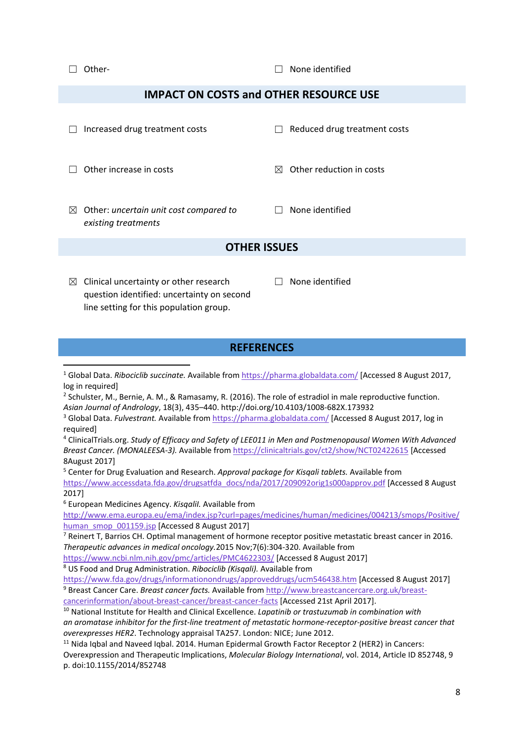☐ Other‐ ☐ None identified

## **IMPACT ON COSTS and OTHER RESOURCE USE**

|           | Increased drug treatment costs                                |   | Reduced drug treatment costs |
|-----------|---------------------------------------------------------------|---|------------------------------|
|           | Other increase in costs                                       | M | Other reduction in costs     |
| $\bowtie$ | Other: uncertain unit cost compared to<br>existing treatments |   | None identified              |
|           | OTHER ISSUES                                                  |   |                              |

- $\boxtimes$  Clinical uncertainty or other research question identified: uncertainty on second line setting for this population group.
- $\Box$  None identified

## **REFERENCES**

<sup>1</sup> Global Data. *Ribociclib succinate.* Available from https://pharma.globaldata.com/ [Accessed 8 August 2017, log in required] 

<sup>2</sup> Schulster, M., Bernie, A. M., & Ramasamy, R. (2016). The role of estradiol in male reproductive function. *Asian Journal of Andrology*, 18(3), 435–440. http://doi.org/10.4103/1008‐682X.173932

<sup>3</sup> Global Data. *Fulvestrant.* Available from https://pharma.globaldata.com/ [Accessed 8 August 2017, log in required]

<sup>4</sup> ClinicalTrials.org. *Study of Efficacy and Safety of LEE011 in Men and Postmenopausal Women With Advanced Breast Cancer. (MONALEESA‐3).* Available from https://clinicaltrials.gov/ct2/show/NCT02422615 [Accessed 8August 2017]

<sup>5</sup> Center for Drug Evaluation and Research. *Approval package for Kisqali tablets.* Available from https://www.accessdata.fda.gov/drugsatfda\_docs/nda/2017/209092orig1s000approv.pdf [Accessed 8 August 2017]

<sup>6</sup> European Medicines Agency. *KisqaliI.* Available from

http://www.ema.europa.eu/ema/index.jsp?curl=pages/medicines/human/medicines/004213/smops/Positive/ human\_smop\_001159.jsp [Accessed 8 August 2017]

 $7$  Reinert T. Barrios CH. Optimal management of hormone receptor positive metastatic breast cancer in 2016. *Therapeutic advances in medical oncology.*2015 Nov;7(6):304‐320. Available from

https://www.ncbi.nlm.nih.gov/pmc/articles/PMC4622303/ [Accessed 8 August 2017]

<sup>8</sup> US Food and Drug Administration. *Ribociclib (Kisqali).* Available from

https://www.fda.gov/drugs/informationondrugs/approveddrugs/ucm546438.htm [Accessed 8 August 2017] <sup>9</sup> Breast Cancer Care. *Breast cancer facts.* Available from http://www.breastcancercare.org.uk/breast‐

cancerinformation/about‐breast‐cancer/breast‐cancer‐facts [Accessed 21st April 2017].

<sup>10</sup> National Institute for Health and Clinical Excellence. *Lapatinib or trastuzumab in combination with* an aromatase inhibitor for the first-line treatment of metastatic hormone-receptor-positive breast cancer that *overexpresses HER2*. Technology appraisal TA257. London: NICE; June 2012.

<sup>11</sup> Nida Iqbal and Naveed Iqbal. 2014. Human Epidermal Growth Factor Receptor 2 (HER2) in Cancers: Overexpression and Therapeutic Implications, *Molecular Biology International*, vol. 2014, Article ID 852748, 9 p. doi:10.1155/2014/852748